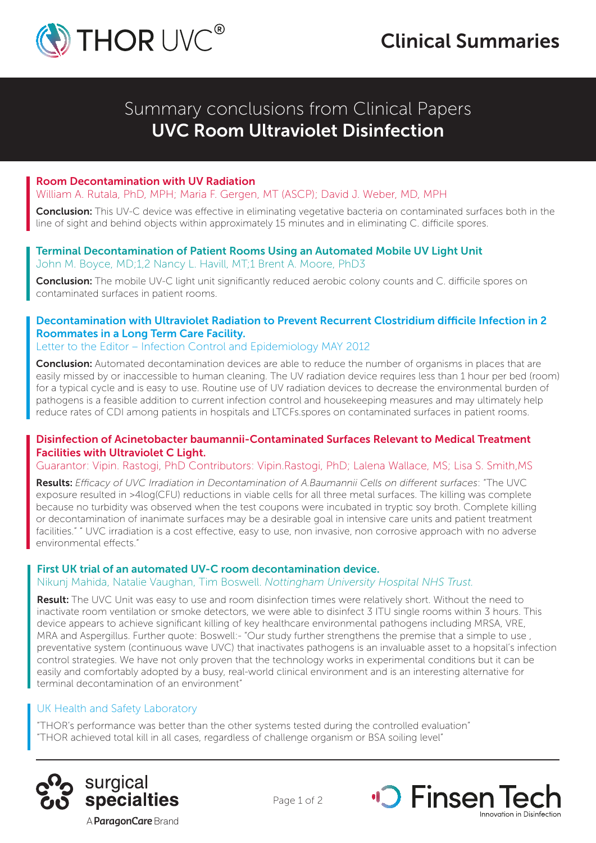

Summary conclusions from Clinical Papers UVC Room Ultraviolet Disinfection

#### Room Decontamination with UV Radiation

William A. Rutala, PhD, MPH; Maria F. Gergen, MT (ASCP); David J. Weber, MD, MPH

Conclusion: This UV-C device was effective in eliminating vegetative bacteria on contaminated surfaces both in the line of sight and behind objects within approximately 15 minutes and in eliminating C. difficile spores.

#### Terminal Decontamination of Patient Rooms Using an Automated Mobile UV Light Unit John M. Boyce, MD;1,2 Nancy L. Havill, MT;1 Brent A. Moore, PhD3

**Conclusion:** The mobile UV-C light unit significantly reduced aerobic colony counts and C. difficile spores on contaminated surfaces in patient rooms.

# Decontamination with Ultraviolet Radiation to Prevent Recurrent Clostridium difficile Infection in 2 Roommates in a Long Term Care Facility.

Letter to the Editor – Infection Control and Epidemiology MAY 2012

**Conclusion:** Automated decontamination devices are able to reduce the number of organisms in places that are easily missed by or inaccessible to human cleaning. The UV radiation device requires less than 1 hour per bed (room) for a typical cycle and is easy to use. Routine use of UV radiation devices to decrease the environmental burden of pathogens is a feasible addition to current infection control and housekeeping measures and may ultimately help reduce rates of CDI among patients in hospitals and LTCFs.spores on contaminated surfaces in patient rooms.

### Disinfection of Acinetobacter baumannii-Contaminated Surfaces Relevant to Medical Treatment Facilities with Ultraviolet C Light.

Guarantor: Vipin. Rastogi, PhD Contributors: Vipin.Rastogi, PhD; Lalena Wallace, MS; Lisa S. Smith,MS

Results: *Efficacy of UVC Irradiation in Decontamination of A.Baumannii Cells on different surfaces*: "The UVC exposure resulted in >4log(CFU) reductions in viable cells for all three metal surfaces. The killing was complete because no turbidity was observed when the test coupons were incubated in tryptic soy broth. Complete killing or decontamination of inanimate surfaces may be a desirable goal in intensive care units and patient treatment facilities." " UVC irradiation is a cost effective, easy to use, non invasive, non corrosive approach with no adverse environmental effects."

## First UK trial of an automated UV-C room decontamination device.

#### Nikunj Mahida, Natalie Vaughan, Tim Boswell. *Nottingham University Hospital NHS Trust.*

Result: The UVC Unit was easy to use and room disinfection times were relatively short. Without the need to inactivate room ventilation or smoke detectors, we were able to disinfect 3 ITU single rooms within 3 hours. This device appears to achieve significant killing of key healthcare environmental pathogens including MRSA, VRE, MRA and Aspergillus. Further quote: Boswell:- "Our study further strengthens the premise that a simple to use, preventative system (continuous wave UVC) that inactivates pathogens is an invaluable asset to a hopsital's infection control strategies. We have not only proven that the technology works in experimental conditions but it can be easily and comfortably adopted by a busy, real-world clinical environment and is an interesting alternative for terminal decontamination of an environment"

Page 1 of 2

#### UK Health and Safety Laboratory

"THOR's performance was better than the other systems tested during the controlled evaluation" "THOR achieved total kill in all cases, regardless of challenge organism or BSA soiling level"





A **ParagonCare** Brand